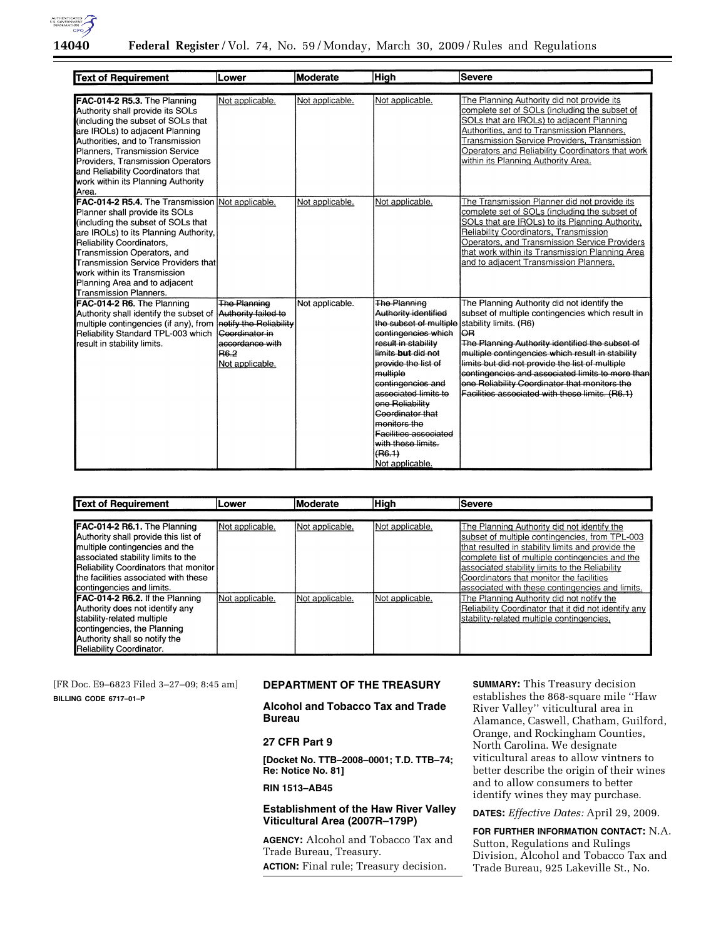

| <b>Text of Requirement</b>                                                                                                                                                                                                                                                                                                                                             | Lower                                                                                                                         | Moderate        | <b>High</b>                                                                                                                                                                                                                                                                                                                                                  | <b>Severe</b>                                                                                                                                                                                                                                                                                                                                                                                                                                             |
|------------------------------------------------------------------------------------------------------------------------------------------------------------------------------------------------------------------------------------------------------------------------------------------------------------------------------------------------------------------------|-------------------------------------------------------------------------------------------------------------------------------|-----------------|--------------------------------------------------------------------------------------------------------------------------------------------------------------------------------------------------------------------------------------------------------------------------------------------------------------------------------------------------------------|-----------------------------------------------------------------------------------------------------------------------------------------------------------------------------------------------------------------------------------------------------------------------------------------------------------------------------------------------------------------------------------------------------------------------------------------------------------|
|                                                                                                                                                                                                                                                                                                                                                                        |                                                                                                                               |                 |                                                                                                                                                                                                                                                                                                                                                              |                                                                                                                                                                                                                                                                                                                                                                                                                                                           |
| FAC-014-2 R5.3. The Planning<br>Authority shall provide its SOLs<br>(including the subset of SOLs that<br>are IROLs) to adjacent Planning<br>Authorities, and to Transmission<br><b>Planners, Transmission Service</b><br>Providers, Transmission Operators<br>and Reliability Coordinators that<br>work within its Planning Authority<br>Area.                        | Not applicable.                                                                                                               | Not applicable. | Not applicable.                                                                                                                                                                                                                                                                                                                                              | The Planning Authority did not provide its<br>complete set of SOLs (including the subset of<br>SOLs that are IROLs) to adjacent Planning<br>Authorities, and to Transmission Planners,<br><b>Transmission Service Providers, Transmission</b><br>Operators and Reliability Coordinators that work<br>within its Planning Authority Area.                                                                                                                  |
| FAC-014-2 R5.4. The Transmission Not applicable.<br>Planner shall provide its SOLs<br>(including the subset of SOLs that<br>are IROLs) to its Planning Authority,<br>Reliability Coordinators,<br>Transmission Operators, and<br>Transmission Service Providers that<br>work within its Transmission<br>Planning Area and to adjacent<br><b>Transmission Planners.</b> |                                                                                                                               | Not applicable. | Not applicable.                                                                                                                                                                                                                                                                                                                                              | The Transmission Planner did not provide its<br>complete set of SOLs (including the subset of<br>SOLs that are IROLs) to its Planning Authority,<br>Reliability Coordinators, Transmission<br>Operators, and Transmission Service Providers<br>that work within its Transmission Planning Area<br>and to adjacent Transmission Planners.                                                                                                                  |
| FAC-014-2 R6. The Planning<br>Authority shall identify the subset of<br>multiple contingencies (if any), from<br>Reliability Standard TPL-003 which<br>result in stability limits.                                                                                                                                                                                     | The Planning<br>Authority failed to<br>notify the Reliability<br>Coordinator in<br>accordance with<br>R6.2<br>Not applicable. | Not applicable. | The Planning<br>Authority identified<br>the subset of multiple<br>contingencies which<br>result in stability<br>limits but did not<br>provide the list of<br>multiple<br>contingencies and<br>associated limits to<br>one Reliability<br>Coordinator that<br>monitors the<br><b>Facilities associated</b><br>with these limits.<br>(H6.1)<br>Not applicable. | The Planning Authority did not identify the<br>subset of multiple contingencies which result in<br>stability limits. (R6)<br><b>IOR</b><br>The Planning Authority identified the subset of<br>multiple contingencies which result in stability<br>limits but did not provide the list of multiple<br>contingencies and associated limits to more than<br>one Reliability Coordinator that monitors the<br>Facilities associated with these limits. (R6.1) |

| <b>Text of Requirement</b>                                                                                                                                                                                                                                 | Lower           | Moderate        | <b>High</b>     | <b>Severe</b>                                                                                                                                                                                                                                                                                                                                           |  |  |
|------------------------------------------------------------------------------------------------------------------------------------------------------------------------------------------------------------------------------------------------------------|-----------------|-----------------|-----------------|---------------------------------------------------------------------------------------------------------------------------------------------------------------------------------------------------------------------------------------------------------------------------------------------------------------------------------------------------------|--|--|
|                                                                                                                                                                                                                                                            |                 |                 |                 |                                                                                                                                                                                                                                                                                                                                                         |  |  |
| FAC-014-2 R6.1. The Planning<br>Authority shall provide this list of<br>multiple contingencies and the<br>associated stability limits to the<br>Reliability Coordinators that monitor<br>the facilities associated with these<br>contingencies and limits. | Not applicable. | Not applicable. | Not applicable. | The Planning Authority did not identify the<br>subset of multiple contingencies, from TPL-003<br>that resulted in stability limits and provide the<br>complete list of multiple contingencies and the<br>lassociated stability limits to the Reliability<br>Coordinators that monitor the facilities<br>associated with these contingencies and limits. |  |  |
| FAC-014-2 R6.2. If the Planning<br>Authority does not identify any<br>stability-related multiple<br>contingencies, the Planning<br>Authority shall so notify the<br>Reliability Coordinator.                                                               | Not applicable. | Not applicable. | Not applicable. | The Planning Authority did not notify the<br>Reliability Coordinator that it did not identify any<br>stability-related multiple contingencies,                                                                                                                                                                                                          |  |  |

[FR Doc. E9–6823 Filed 3–27–09; 8:45 am] **BILLING CODE 6717–01–P** 

# **DEPARTMENT OF THE TREASURY**

**Alcohol and Tobacco Tax and Trade Bureau** 

# **27 CFR Part 9**

**[Docket No. TTB–2008–0001; T.D. TTB–74; Re: Notice No. 81]** 

**RIN 1513–AB45** 

# **Establishment of the Haw River Valley Viticultural Area (2007R–179P)**

**AGENCY:** Alcohol and Tobacco Tax and Trade Bureau, Treasury. **ACTION:** Final rule; Treasury decision.

**SUMMARY:** This Treasury decision establishes the 868-square mile ''Haw River Valley'' viticultural area in Alamance, Caswell, Chatham, Guilford, Orange, and Rockingham Counties, North Carolina. We designate viticultural areas to allow vintners to better describe the origin of their wines and to allow consumers to better identify wines they may purchase.

## **DATES:** *Effective Dates:* April 29, 2009.

**FOR FURTHER INFORMATION CONTACT:** N.A. Sutton, Regulations and Rulings Division, Alcohol and Tobacco Tax and Trade Bureau, 925 Lakeville St., No.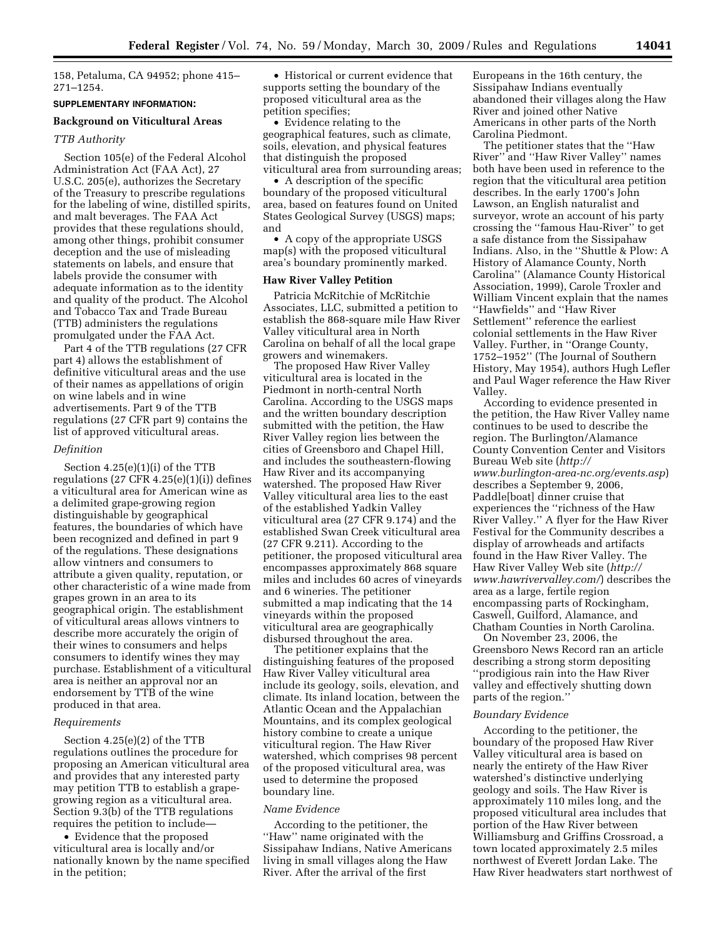158, Petaluma, CA 94952; phone 415– 271–1254.

# **SUPPLEMENTARY INFORMATION:**

#### **Background on Viticultural Areas**

#### *TTB Authority*

Section 105(e) of the Federal Alcohol Administration Act (FAA Act), 27 U.S.C. 205(e), authorizes the Secretary of the Treasury to prescribe regulations for the labeling of wine, distilled spirits, and malt beverages. The FAA Act provides that these regulations should, among other things, prohibit consumer deception and the use of misleading statements on labels, and ensure that labels provide the consumer with adequate information as to the identity and quality of the product. The Alcohol and Tobacco Tax and Trade Bureau (TTB) administers the regulations promulgated under the FAA Act.

Part 4 of the TTB regulations (27 CFR part 4) allows the establishment of definitive viticultural areas and the use of their names as appellations of origin on wine labels and in wine advertisements. Part 9 of the TTB regulations (27 CFR part 9) contains the list of approved viticultural areas.

#### *Definition*

Section 4.25(e)(1)(i) of the TTB regulations  $(27 \text{ CFR } 4.25(e)(1)(i))$  defines a viticultural area for American wine as a delimited grape-growing region distinguishable by geographical features, the boundaries of which have been recognized and defined in part 9 of the regulations. These designations allow vintners and consumers to attribute a given quality, reputation, or other characteristic of a wine made from grapes grown in an area to its geographical origin. The establishment of viticultural areas allows vintners to describe more accurately the origin of their wines to consumers and helps consumers to identify wines they may purchase. Establishment of a viticultural area is neither an approval nor an endorsement by TTB of the wine produced in that area.

## *Requirements*

Section 4.25(e)(2) of the TTB regulations outlines the procedure for proposing an American viticultural area and provides that any interested party may petition TTB to establish a grapegrowing region as a viticultural area. Section 9.3(b) of the TTB regulations requires the petition to include—

• Evidence that the proposed viticultural area is locally and/or nationally known by the name specified in the petition;

• Historical or current evidence that supports setting the boundary of the proposed viticultural area as the petition specifies;

• Evidence relating to the geographical features, such as climate, soils, elevation, and physical features that distinguish the proposed viticultural area from surrounding areas;

• A description of the specific boundary of the proposed viticultural area, based on features found on United States Geological Survey (USGS) maps; and

• A copy of the appropriate USGS map(s) with the proposed viticultural area's boundary prominently marked.

#### **Haw River Valley Petition**

Patricia McRitchie of McRitchie Associates, LLC, submitted a petition to establish the 868-square mile Haw River Valley viticultural area in North Carolina on behalf of all the local grape growers and winemakers.

The proposed Haw River Valley viticultural area is located in the Piedmont in north-central North Carolina. According to the USGS maps and the written boundary description submitted with the petition, the Haw River Valley region lies between the cities of Greensboro and Chapel Hill, and includes the southeastern-flowing Haw River and its accompanying watershed. The proposed Haw River Valley viticultural area lies to the east of the established Yadkin Valley viticultural area (27 CFR 9.174) and the established Swan Creek viticultural area (27 CFR 9.211). According to the petitioner, the proposed viticultural area encompasses approximately 868 square miles and includes 60 acres of vineyards and 6 wineries. The petitioner submitted a map indicating that the 14 vineyards within the proposed viticultural area are geographically disbursed throughout the area.

The petitioner explains that the distinguishing features of the proposed Haw River Valley viticultural area include its geology, soils, elevation, and climate. Its inland location, between the Atlantic Ocean and the Appalachian Mountains, and its complex geological history combine to create a unique viticultural region. The Haw River watershed, which comprises 98 percent of the proposed viticultural area, was used to determine the proposed boundary line.

#### *Name Evidence*

According to the petitioner, the ''Haw'' name originated with the Sissipahaw Indians, Native Americans living in small villages along the Haw River. After the arrival of the first

Europeans in the 16th century, the Sissipahaw Indians eventually abandoned their villages along the Haw River and joined other Native Americans in other parts of the North Carolina Piedmont.

The petitioner states that the ''Haw River'' and ''Haw River Valley'' names both have been used in reference to the region that the viticultural area petition describes. In the early 1700's John Lawson, an English naturalist and surveyor, wrote an account of his party crossing the ''famous Hau-River'' to get a safe distance from the Sissipahaw Indians. Also, in the ''Shuttle & Plow: A History of Alamance County, North Carolina'' (Alamance County Historical Association, 1999), Carole Troxler and William Vincent explain that the names ''Hawfields'' and ''Haw River Settlement'' reference the earliest colonial settlements in the Haw River Valley. Further, in ''Orange County, 1752–1952'' (The Journal of Southern History, May 1954), authors Hugh Lefler and Paul Wager reference the Haw River Valley.

According to evidence presented in the petition, the Haw River Valley name continues to be used to describe the region. The Burlington/Alamance County Convention Center and Visitors Bureau Web site (*http:// www.burlington-area-nc.org/events.asp*) describes a September 9, 2006, Paddle[boat] dinner cruise that experiences the ''richness of the Haw River Valley.'' A flyer for the Haw River Festival for the Community describes a display of arrowheads and artifacts found in the Haw River Valley. The Haw River Valley Web site (*http:// www.hawrivervalley.com/*) describes the area as a large, fertile region encompassing parts of Rockingham, Caswell, Guilford, Alamance, and Chatham Counties in North Carolina.

On November 23, 2006, the Greensboro News Record ran an article describing a strong storm depositing ''prodigious rain into the Haw River valley and effectively shutting down parts of the region.''

#### *Boundary Evidence*

According to the petitioner, the boundary of the proposed Haw River Valley viticultural area is based on nearly the entirety of the Haw River watershed's distinctive underlying geology and soils. The Haw River is approximately 110 miles long, and the proposed viticultural area includes that portion of the Haw River between Williamsburg and Griffins Crossroad, a town located approximately 2.5 miles northwest of Everett Jordan Lake. The Haw River headwaters start northwest of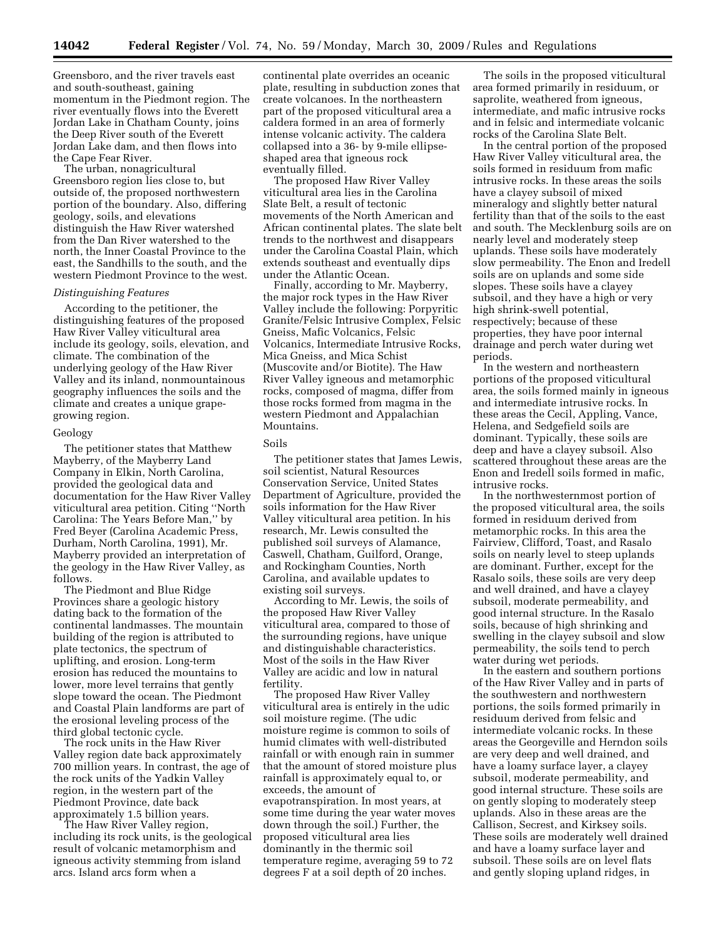Greensboro, and the river travels east and south-southeast, gaining momentum in the Piedmont region. The river eventually flows into the Everett Jordan Lake in Chatham County, joins the Deep River south of the Everett Jordan Lake dam, and then flows into the Cape Fear River.

The urban, nonagricultural Greensboro region lies close to, but outside of, the proposed northwestern portion of the boundary. Also, differing geology, soils, and elevations distinguish the Haw River watershed from the Dan River watershed to the north, the Inner Coastal Province to the east, the Sandhills to the south, and the western Piedmont Province to the west.

#### *Distinguishing Features*

According to the petitioner, the distinguishing features of the proposed Haw River Valley viticultural area include its geology, soils, elevation, and climate. The combination of the underlying geology of the Haw River Valley and its inland, nonmountainous geography influences the soils and the climate and creates a unique grapegrowing region.

#### Geology

The petitioner states that Matthew Mayberry, of the Mayberry Land Company in Elkin, North Carolina, provided the geological data and documentation for the Haw River Valley viticultural area petition. Citing ''North Carolina: The Years Before Man,'' by Fred Beyer (Carolina Academic Press, Durham, North Carolina, 1991), Mr. Mayberry provided an interpretation of the geology in the Haw River Valley, as follows.

The Piedmont and Blue Ridge Provinces share a geologic history dating back to the formation of the continental landmasses. The mountain building of the region is attributed to plate tectonics, the spectrum of uplifting, and erosion. Long-term erosion has reduced the mountains to lower, more level terrains that gently slope toward the ocean. The Piedmont and Coastal Plain landforms are part of the erosional leveling process of the third global tectonic cycle.

The rock units in the Haw River Valley region date back approximately 700 million years. In contrast, the age of the rock units of the Yadkin Valley region, in the western part of the Piedmont Province, date back approximately 1.5 billion years.

The Haw River Valley region, including its rock units, is the geological result of volcanic metamorphism and igneous activity stemming from island arcs. Island arcs form when a

continental plate overrides an oceanic plate, resulting in subduction zones that create volcanoes. In the northeastern part of the proposed viticultural area a caldera formed in an area of formerly intense volcanic activity. The caldera collapsed into a 36- by 9-mile ellipseshaped area that igneous rock eventually filled.

The proposed Haw River Valley viticultural area lies in the Carolina Slate Belt, a result of tectonic movements of the North American and African continental plates. The slate belt trends to the northwest and disappears under the Carolina Coastal Plain, which extends southeast and eventually dips under the Atlantic Ocean.

Finally, according to Mr. Mayberry, the major rock types in the Haw River Valley include the following: Porpyritic Granite/Felsic Intrusive Complex, Felsic Gneiss, Mafic Volcanics, Felsic Volcanics, Intermediate Intrusive Rocks, Mica Gneiss, and Mica Schist (Muscovite and/or Biotite). The Haw River Valley igneous and metamorphic rocks, composed of magma, differ from those rocks formed from magma in the western Piedmont and Appalachian Mountains.

#### Soils

The petitioner states that James Lewis, soil scientist, Natural Resources Conservation Service, United States Department of Agriculture, provided the soils information for the Haw River Valley viticultural area petition. In his research, Mr. Lewis consulted the published soil surveys of Alamance, Caswell, Chatham, Guilford, Orange, and Rockingham Counties, North Carolina, and available updates to existing soil surveys.

According to Mr. Lewis, the soils of the proposed Haw River Valley viticultural area, compared to those of the surrounding regions, have unique and distinguishable characteristics. Most of the soils in the Haw River Valley are acidic and low in natural fertility.

The proposed Haw River Valley viticultural area is entirely in the udic soil moisture regime. (The udic moisture regime is common to soils of humid climates with well-distributed rainfall or with enough rain in summer that the amount of stored moisture plus rainfall is approximately equal to, or exceeds, the amount of evapotranspiration. In most years, at some time during the year water moves down through the soil.) Further, the proposed viticultural area lies dominantly in the thermic soil temperature regime, averaging 59 to 72 degrees F at a soil depth of 20 inches.

The soils in the proposed viticultural area formed primarily in residuum, or saprolite, weathered from igneous, intermediate, and mafic intrusive rocks and in felsic and intermediate volcanic rocks of the Carolina Slate Belt.

In the central portion of the proposed Haw River Valley viticultural area, the soils formed in residuum from mafic intrusive rocks. In these areas the soils have a clayey subsoil of mixed mineralogy and slightly better natural fertility than that of the soils to the east and south. The Mecklenburg soils are on nearly level and moderately steep uplands. These soils have moderately slow permeability. The Enon and Iredell soils are on uplands and some side slopes. These soils have a clayey subsoil, and they have a high or very high shrink-swell potential, respectively; because of these properties, they have poor internal drainage and perch water during wet periods.

In the western and northeastern portions of the proposed viticultural area, the soils formed mainly in igneous and intermediate intrusive rocks. In these areas the Cecil, Appling, Vance, Helena, and Sedgefield soils are dominant. Typically, these soils are deep and have a clayey subsoil. Also scattered throughout these areas are the Enon and Iredell soils formed in mafic, intrusive rocks.

In the northwesternmost portion of the proposed viticultural area, the soils formed in residuum derived from metamorphic rocks. In this area the Fairview, Clifford, Toast, and Rasalo soils on nearly level to steep uplands are dominant. Further, except for the Rasalo soils, these soils are very deep and well drained, and have a clayey subsoil, moderate permeability, and good internal structure. In the Rasalo soils, because of high shrinking and swelling in the clayey subsoil and slow permeability, the soils tend to perch water during wet periods.

In the eastern and southern portions of the Haw River Valley and in parts of the southwestern and northwestern portions, the soils formed primarily in residuum derived from felsic and intermediate volcanic rocks. In these areas the Georgeville and Herndon soils are very deep and well drained, and have a loamy surface layer, a clayey subsoil, moderate permeability, and good internal structure. These soils are on gently sloping to moderately steep uplands. Also in these areas are the Callison, Secrest, and Kirksey soils. These soils are moderately well drained and have a loamy surface layer and subsoil. These soils are on level flats and gently sloping upland ridges, in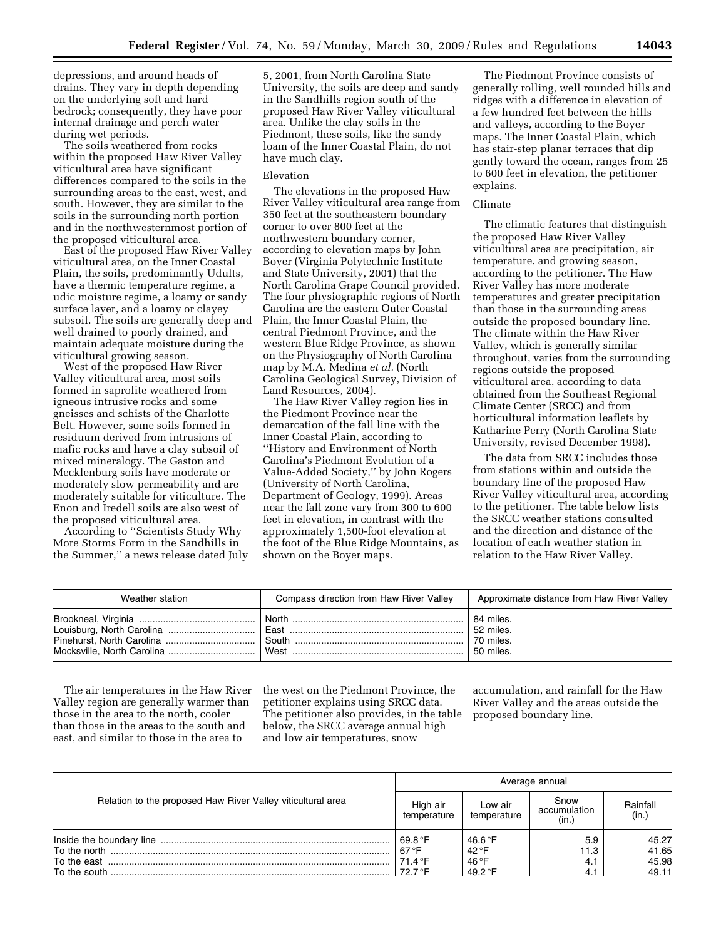depressions, and around heads of drains. They vary in depth depending on the underlying soft and hard bedrock; consequently, they have poor internal drainage and perch water during wet periods.

The soils weathered from rocks within the proposed Haw River Valley viticultural area have significant differences compared to the soils in the surrounding areas to the east, west, and south. However, they are similar to the soils in the surrounding north portion and in the northwesternmost portion of the proposed viticultural area.

East of the proposed Haw River Valley viticultural area, on the Inner Coastal Plain, the soils, predominantly Udults, have a thermic temperature regime, a udic moisture regime, a loamy or sandy surface layer, and a loamy or clayey subsoil. The soils are generally deep and well drained to poorly drained, and maintain adequate moisture during the viticultural growing season.

West of the proposed Haw River Valley viticultural area, most soils formed in saprolite weathered from igneous intrusive rocks and some gneisses and schists of the Charlotte Belt. However, some soils formed in residuum derived from intrusions of mafic rocks and have a clay subsoil of mixed mineralogy. The Gaston and Mecklenburg soils have moderate or moderately slow permeability and are moderately suitable for viticulture. The Enon and Iredell soils are also west of the proposed viticultural area.

According to ''Scientists Study Why More Storms Form in the Sandhills in the Summer,'' a news release dated July 5, 2001, from North Carolina State University, the soils are deep and sandy in the Sandhills region south of the proposed Haw River Valley viticultural area. Unlike the clay soils in the Piedmont, these soils, like the sandy loam of the Inner Coastal Plain, do not have much clay.

## Elevation

The elevations in the proposed Haw River Valley viticultural area range from 350 feet at the southeastern boundary corner to over 800 feet at the northwestern boundary corner, according to elevation maps by John Boyer (Virginia Polytechnic Institute and State University, 2001) that the North Carolina Grape Council provided. The four physiographic regions of North Carolina are the eastern Outer Coastal Plain, the Inner Coastal Plain, the central Piedmont Province, and the western Blue Ridge Province, as shown on the Physiography of North Carolina map by M.A. Medina *et al.* (North Carolina Geological Survey, Division of Land Resources, 2004).

The Haw River Valley region lies in the Piedmont Province near the demarcation of the fall line with the Inner Coastal Plain, according to ''History and Environment of North Carolina's Piedmont Evolution of a Value-Added Society,'' by John Rogers (University of North Carolina, Department of Geology, 1999). Areas near the fall zone vary from 300 to 600 feet in elevation, in contrast with the approximately 1,500-foot elevation at the foot of the Blue Ridge Mountains, as shown on the Boyer maps.

The Piedmont Province consists of generally rolling, well rounded hills and ridges with a difference in elevation of a few hundred feet between the hills and valleys, according to the Boyer maps. The Inner Coastal Plain, which has stair-step planar terraces that dip gently toward the ocean, ranges from 25 to 600 feet in elevation, the petitioner explains.

#### Climate

The climatic features that distinguish the proposed Haw River Valley viticultural area are precipitation, air temperature, and growing season, according to the petitioner. The Haw River Valley has more moderate temperatures and greater precipitation than those in the surrounding areas outside the proposed boundary line. The climate within the Haw River Valley, which is generally similar throughout, varies from the surrounding regions outside the proposed viticultural area, according to data obtained from the Southeast Regional Climate Center (SRCC) and from horticultural information leaflets by Katharine Perry (North Carolina State University, revised December 1998).

The data from SRCC includes those from stations within and outside the boundary line of the proposed Haw River Valley viticultural area, according to the petitioner. The table below lists the SRCC weather stations consulted and the direction and distance of the location of each weather station in relation to the Haw River Valley.

| Weather station | Compass direction from Haw River Valley | Approximate distance from Haw River Valley |
|-----------------|-----------------------------------------|--------------------------------------------|
|                 | <b>North</b>                            | 84 miles.                                  |
|                 |                                         | 52 miles.                                  |
|                 | South                                   | 70 miles.                                  |
|                 | West                                    | 50 miles.                                  |

The air temperatures in the Haw River Valley region are generally warmer than those in the area to the north, cooler than those in the areas to the south and east, and similar to those in the area to

the west on the Piedmont Province, the petitioner explains using SRCC data. The petitioner also provides, in the table below, the SRCC average annual high and low air temperatures, snow

accumulation, and rainfall for the Haw River Valley and the areas outside the proposed boundary line.

|                                                             | Average annual          |                        |                               |                   |
|-------------------------------------------------------------|-------------------------|------------------------|-------------------------------|-------------------|
| Relation to the proposed Haw River Valley viticultural area | High air<br>temperature | Low air<br>temperature | Snow<br>accumulation<br>(in.) | Rainfall<br>(in.) |
|                                                             | 69.8 $\degree$ F        | 46.6 °F                | 5.9                           | 45.27             |
|                                                             | $67^{\circ}$ F          | 42 °F                  | 11.3                          | 41.65             |
|                                                             | 71.4 °F                 | 46 °F                  | 4.1                           | 45.98             |
|                                                             | 72 7 °F                 | 49.2 °F                | 4.1                           | 49.11             |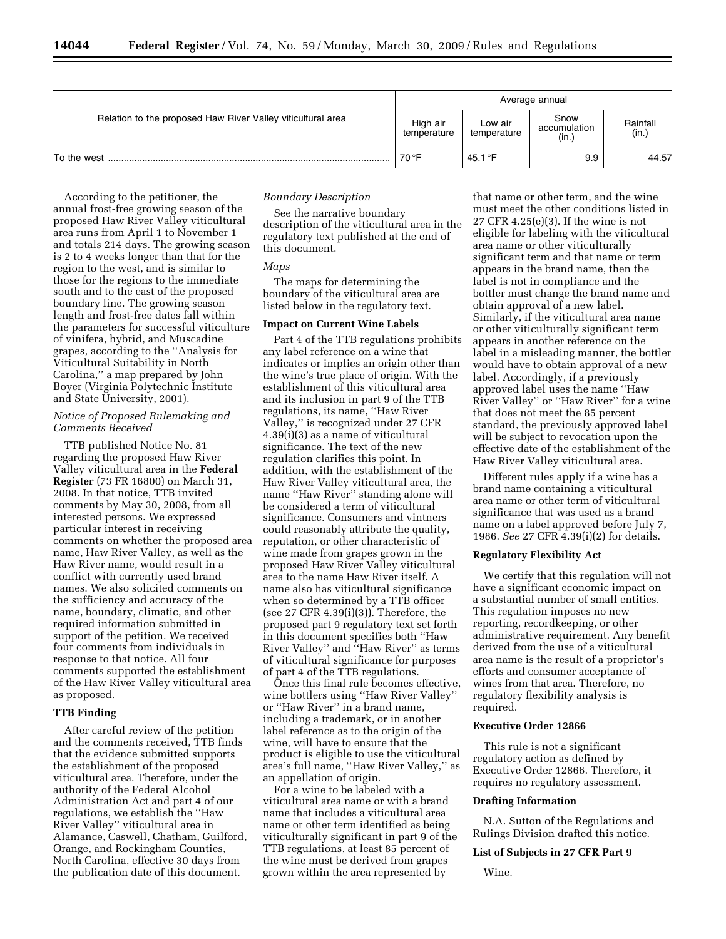|                                                             | Average annual          |                        |                               |                   |
|-------------------------------------------------------------|-------------------------|------------------------|-------------------------------|-------------------|
| Relation to the proposed Haw River Valley viticultural area | High air<br>temperature | Low air<br>temperature | Snow<br>accumulation<br>(in., | Rainfall<br>(in.) |
| To the west                                                 | 70 °F                   | 45.1 °F                | 9.9                           | 44.57             |

According to the petitioner, the annual frost-free growing season of the proposed Haw River Valley viticultural area runs from April 1 to November 1 and totals 214 days. The growing season is 2 to 4 weeks longer than that for the region to the west, and is similar to those for the regions to the immediate south and to the east of the proposed boundary line. The growing season length and frost-free dates fall within the parameters for successful viticulture of vinifera, hybrid, and Muscadine grapes, according to the ''Analysis for Viticultural Suitability in North Carolina,'' a map prepared by John Boyer (Virginia Polytechnic Institute and State University, 2001).

## *Notice of Proposed Rulemaking and Comments Received*

TTB published Notice No. 81 regarding the proposed Haw River Valley viticultural area in the **Federal Register** (73 FR 16800) on March 31, 2008. In that notice, TTB invited comments by May 30, 2008, from all interested persons. We expressed particular interest in receiving comments on whether the proposed area name, Haw River Valley, as well as the Haw River name, would result in a conflict with currently used brand names. We also solicited comments on the sufficiency and accuracy of the name, boundary, climatic, and other required information submitted in support of the petition. We received four comments from individuals in response to that notice. All four comments supported the establishment of the Haw River Valley viticultural area as proposed.

#### **TTB Finding**

After careful review of the petition and the comments received, TTB finds that the evidence submitted supports the establishment of the proposed viticultural area. Therefore, under the authority of the Federal Alcohol Administration Act and part 4 of our regulations, we establish the ''Haw River Valley'' viticultural area in Alamance, Caswell, Chatham, Guilford, Orange, and Rockingham Counties, North Carolina, effective 30 days from the publication date of this document.

## *Boundary Description*

See the narrative boundary description of the viticultural area in the regulatory text published at the end of this document.

#### *Maps*

The maps for determining the boundary of the viticultural area are listed below in the regulatory text.

## **Impact on Current Wine Labels**

Part 4 of the TTB regulations prohibits any label reference on a wine that indicates or implies an origin other than the wine's true place of origin. With the establishment of this viticultural area and its inclusion in part 9 of the TTB regulations, its name, ''Haw River Valley,'' is recognized under 27 CFR 4.39(i)(3) as a name of viticultural significance. The text of the new regulation clarifies this point. In addition, with the establishment of the Haw River Valley viticultural area, the name ''Haw River'' standing alone will be considered a term of viticultural significance. Consumers and vintners could reasonably attribute the quality, reputation, or other characteristic of wine made from grapes grown in the proposed Haw River Valley viticultural area to the name Haw River itself. A name also has viticultural significance when so determined by a TTB officer (see 27 CFR 4.39(i)(3)). Therefore, the proposed part 9 regulatory text set forth in this document specifies both ''Haw River Valley'' and ''Haw River'' as terms of viticultural significance for purposes of part 4 of the TTB regulations.

Once this final rule becomes effective, wine bottlers using ''Haw River Valley'' or ''Haw River'' in a brand name, including a trademark, or in another label reference as to the origin of the wine, will have to ensure that the product is eligible to use the viticultural area's full name, ''Haw River Valley,'' as an appellation of origin.

For a wine to be labeled with a viticultural area name or with a brand name that includes a viticultural area name or other term identified as being viticulturally significant in part 9 of the TTB regulations, at least 85 percent of the wine must be derived from grapes grown within the area represented by

that name or other term, and the wine must meet the other conditions listed in 27 CFR 4.25(e)(3). If the wine is not eligible for labeling with the viticultural area name or other viticulturally significant term and that name or term appears in the brand name, then the label is not in compliance and the bottler must change the brand name and obtain approval of a new label. Similarly, if the viticultural area name or other viticulturally significant term appears in another reference on the label in a misleading manner, the bottler would have to obtain approval of a new label. Accordingly, if a previously approved label uses the name ''Haw River Valley'' or ''Haw River'' for a wine that does not meet the 85 percent standard, the previously approved label will be subject to revocation upon the effective date of the establishment of the Haw River Valley viticultural area.

Different rules apply if a wine has a brand name containing a viticultural area name or other term of viticultural significance that was used as a brand name on a label approved before July 7, 1986. *See* 27 CFR 4.39(i)(2) for details.

## **Regulatory Flexibility Act**

We certify that this regulation will not have a significant economic impact on a substantial number of small entities. This regulation imposes no new reporting, recordkeeping, or other administrative requirement. Any benefit derived from the use of a viticultural area name is the result of a proprietor's efforts and consumer acceptance of wines from that area. Therefore, no regulatory flexibility analysis is required.

#### **Executive Order 12866**

This rule is not a significant regulatory action as defined by Executive Order 12866. Therefore, it requires no regulatory assessment.

## **Drafting Information**

N.A. Sutton of the Regulations and Rulings Division drafted this notice.

#### **List of Subjects in 27 CFR Part 9**

Wine.